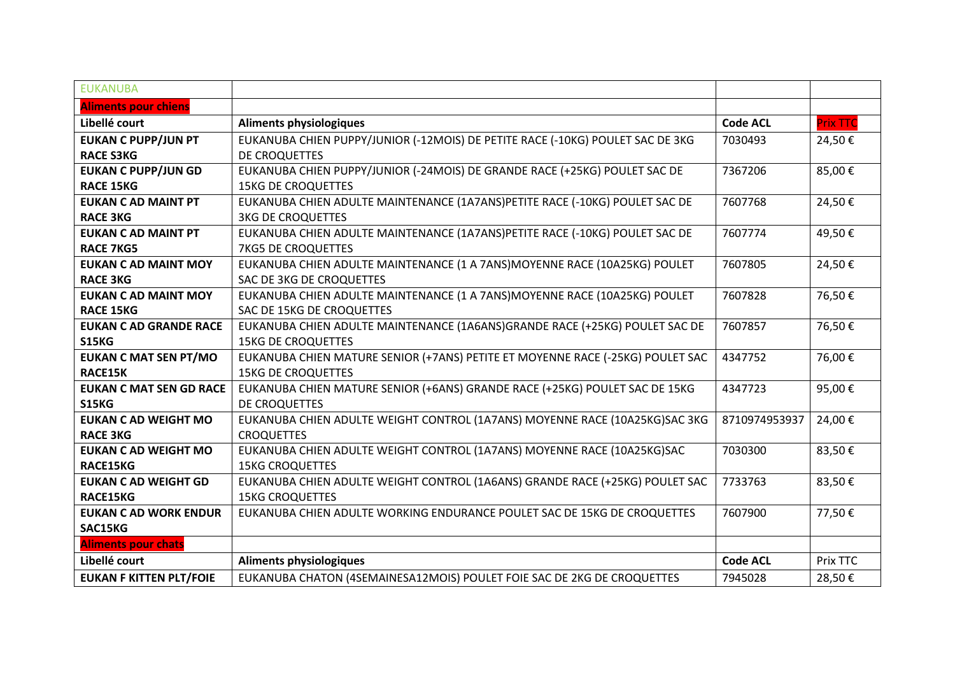| <b>EUKANUBA</b>                |                                                                                |                 |                 |
|--------------------------------|--------------------------------------------------------------------------------|-----------------|-----------------|
| <b>Aliments pour chiens</b>    |                                                                                |                 |                 |
| Libellé court                  | <b>Aliments physiologiques</b>                                                 | <b>Code ACL</b> | <b>Prix TTC</b> |
| <b>EUKAN C PUPP/JUN PT</b>     | EUKANUBA CHIEN PUPPY/JUNIOR (-12MOIS) DE PETITE RACE (-10KG) POULET SAC DE 3KG | 7030493         | 24,50€          |
| <b>RACE S3KG</b>               | DE CROQUETTES                                                                  |                 |                 |
| <b>EUKAN C PUPP/JUN GD</b>     | EUKANUBA CHIEN PUPPY/JUNIOR (-24MOIS) DE GRANDE RACE (+25KG) POULET SAC DE     | 7367206         | 85,00€          |
| <b>RACE 15KG</b>               | <b>15KG DE CROQUETTES</b>                                                      |                 |                 |
| <b>EUKAN C AD MAINT PT</b>     | EUKANUBA CHIEN ADULTE MAINTENANCE (1A7ANS)PETITE RACE (-10KG) POULET SAC DE    | 7607768         | 24,50€          |
| <b>RACE 3KG</b>                | <b>3KG DE CROQUETTES</b>                                                       |                 |                 |
| <b>EUKAN C AD MAINT PT</b>     | EUKANUBA CHIEN ADULTE MAINTENANCE (1A7ANS)PETITE RACE (-10KG) POULET SAC DE    | 7607774         | 49,50€          |
| <b>RACE 7KG5</b>               | 7KG5 DE CROQUETTES                                                             |                 |                 |
| <b>EUKAN C AD MAINT MOY</b>    | EUKANUBA CHIEN ADULTE MAINTENANCE (1 A 7ANS)MOYENNE RACE (10A25KG) POULET      | 7607805         | 24,50€          |
| <b>RACE 3KG</b>                | SAC DE 3KG DE CROQUETTES                                                       |                 |                 |
| <b>EUKAN C AD MAINT MOY</b>    | EUKANUBA CHIEN ADULTE MAINTENANCE (1 A 7ANS)MOYENNE RACE (10A25KG) POULET      | 7607828         | 76,50€          |
| <b>RACE 15KG</b>               | SAC DE 15KG DE CROQUETTES                                                      |                 |                 |
| <b>EUKAN C AD GRANDE RACE</b>  | EUKANUBA CHIEN ADULTE MAINTENANCE (1A6ANS) GRANDE RACE (+25KG) POULET SAC DE   | 7607857         | 76,50€          |
| <b>S15KG</b>                   | <b>15KG DE CROQUETTES</b>                                                      |                 |                 |
| <b>EUKAN C MAT SEN PT/MO</b>   | EUKANUBA CHIEN MATURE SENIOR (+7ANS) PETITE ET MOYENNE RACE (-25KG) POULET SAC | 4347752         | 76,00€          |
| RACE15K                        | <b>15KG DE CROQUETTES</b>                                                      |                 |                 |
| <b>EUKAN C MAT SEN GD RACE</b> | EUKANUBA CHIEN MATURE SENIOR (+6ANS) GRANDE RACE (+25KG) POULET SAC DE 15KG    | 4347723         | 95,00€          |
| <b>S15KG</b>                   | DE CROQUETTES                                                                  |                 |                 |
| <b>EUKAN C AD WEIGHT MO</b>    | EUKANUBA CHIEN ADULTE WEIGHT CONTROL (1A7ANS) MOYENNE RACE (10A25KG)SAC 3KG    | 8710974953937   | 24,00€          |
| <b>RACE 3KG</b>                | <b>CROQUETTES</b>                                                              |                 |                 |
| <b>EUKAN C AD WEIGHT MO</b>    | EUKANUBA CHIEN ADULTE WEIGHT CONTROL (1A7ANS) MOYENNE RACE (10A25KG)SAC        | 7030300         | 83,50€          |
| <b>RACE15KG</b>                | <b>15KG CROQUETTES</b>                                                         |                 |                 |
| <b>EUKAN C AD WEIGHT GD</b>    | EUKANUBA CHIEN ADULTE WEIGHT CONTROL (1A6ANS) GRANDE RACE (+25KG) POULET SAC   | 7733763         | 83,50€          |
| RACE15KG                       | <b>15KG CROQUETTES</b>                                                         |                 |                 |
| <b>EUKAN C AD WORK ENDUR</b>   | EUKANUBA CHIEN ADULTE WORKING ENDURANCE POULET SAC DE 15KG DE CROQUETTES       | 7607900         | 77,50€          |
| SAC15KG                        |                                                                                |                 |                 |
| <b>Aliments pour chats</b>     |                                                                                |                 |                 |
| Libellé court                  | <b>Aliments physiologiques</b>                                                 | <b>Code ACL</b> | Prix TTC        |
| <b>EUKAN F KITTEN PLT/FOIE</b> | EUKANUBA CHATON (4SEMAINESA12MOIS) POULET FOIE SAC DE 2KG DE CROQUETTES        | 7945028         | 28,50€          |